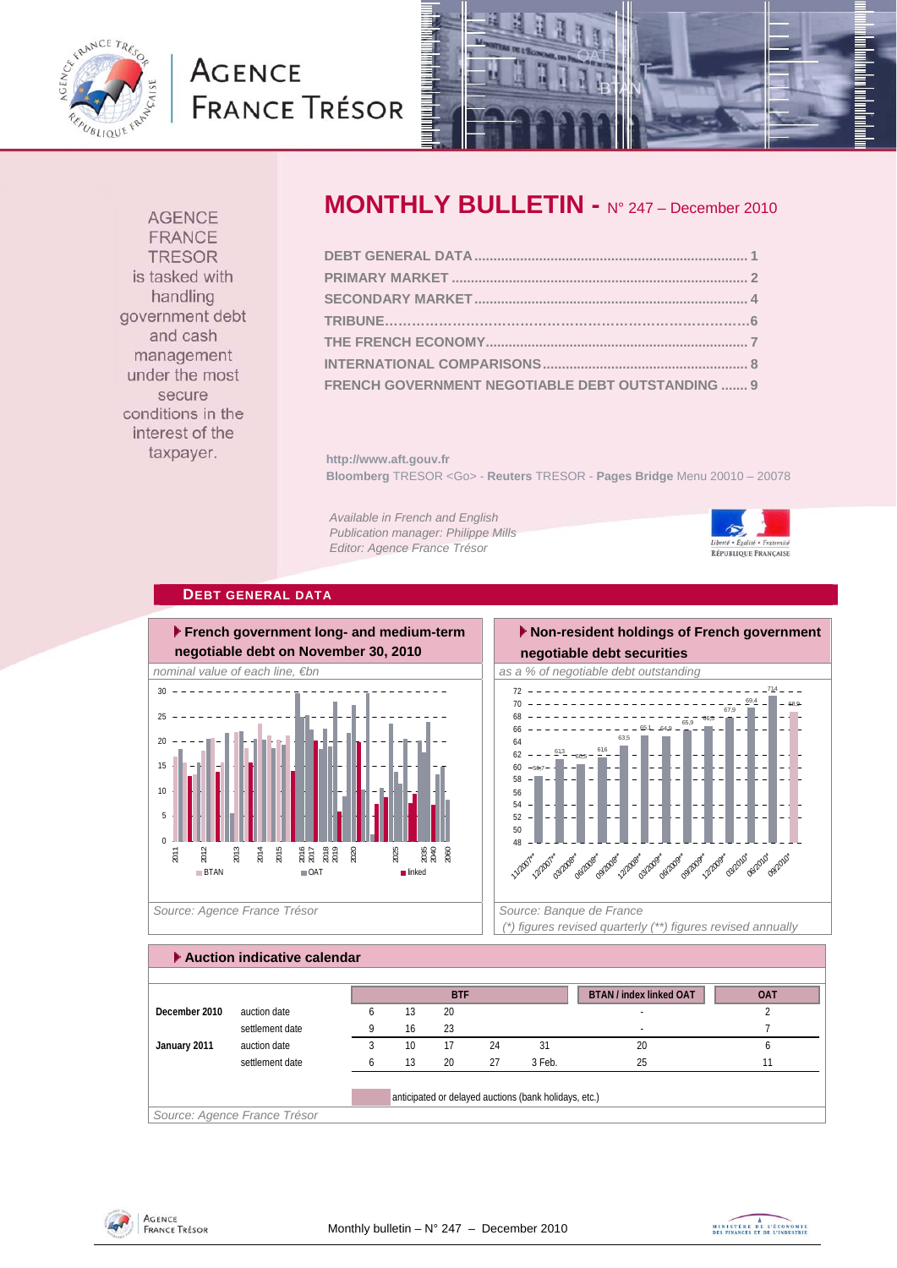

# **AGENCE FRANCE TRÉSOR**



**AGENCE FRANCE TRESOR** is tasked with handling government debt and cash management under the most secure conditions in the interest of the taxpayer.

# **MONTHLY BULLETIN -** N° 247 – December 2010

| FRENCH GOVERNMENT NEGOTIABLE DEBT OUTSTANDING  9 |  |
|--------------------------------------------------|--|

**http://www.aft.gouv.fr Bloomberg** TRESOR <Go> - **Reuters** TRESOR - **Pages Bridge** Menu 20010 – 20078

*Available in French and English Publication manager: Philippe Mills Editor: Agence France Trésor* 



#### **DEBT GENERAL DATA**



Source: Agence France Trésor **Source: Banque de France**  $\vert$  Source: Banque de France

### **Non-resident holdings of French government negotiable debt securities**  71,4 72



 *(\*) figures revised quarterly (\*\*) figures revised annually* 

|               | $\blacktriangleright$ Auction indicative calendar |              |    |            |    |                                                       |                                |            |
|---------------|---------------------------------------------------|--------------|----|------------|----|-------------------------------------------------------|--------------------------------|------------|
|               |                                                   |              |    | <b>BTF</b> |    |                                                       | <b>BTAN / index linked OAT</b> | <b>OAT</b> |
| December 2010 | auction date                                      | <sub>6</sub> | 13 | 20         |    |                                                       |                                |            |
|               | settlement date                                   |              | 16 | 23         |    |                                                       |                                |            |
| January 2011  | auction date                                      | 3            | 10 | 17         | 24 | 31                                                    | 20                             |            |
|               | settlement date                                   |              | 13 | 20         | 27 | 3 Feb.                                                | 25                             | 11         |
|               |                                                   |              |    |            |    | anticipated or delayed auctions (bank holidays, etc.) |                                |            |
|               | Source: Agence France Trésor                      |              |    |            |    |                                                       |                                |            |



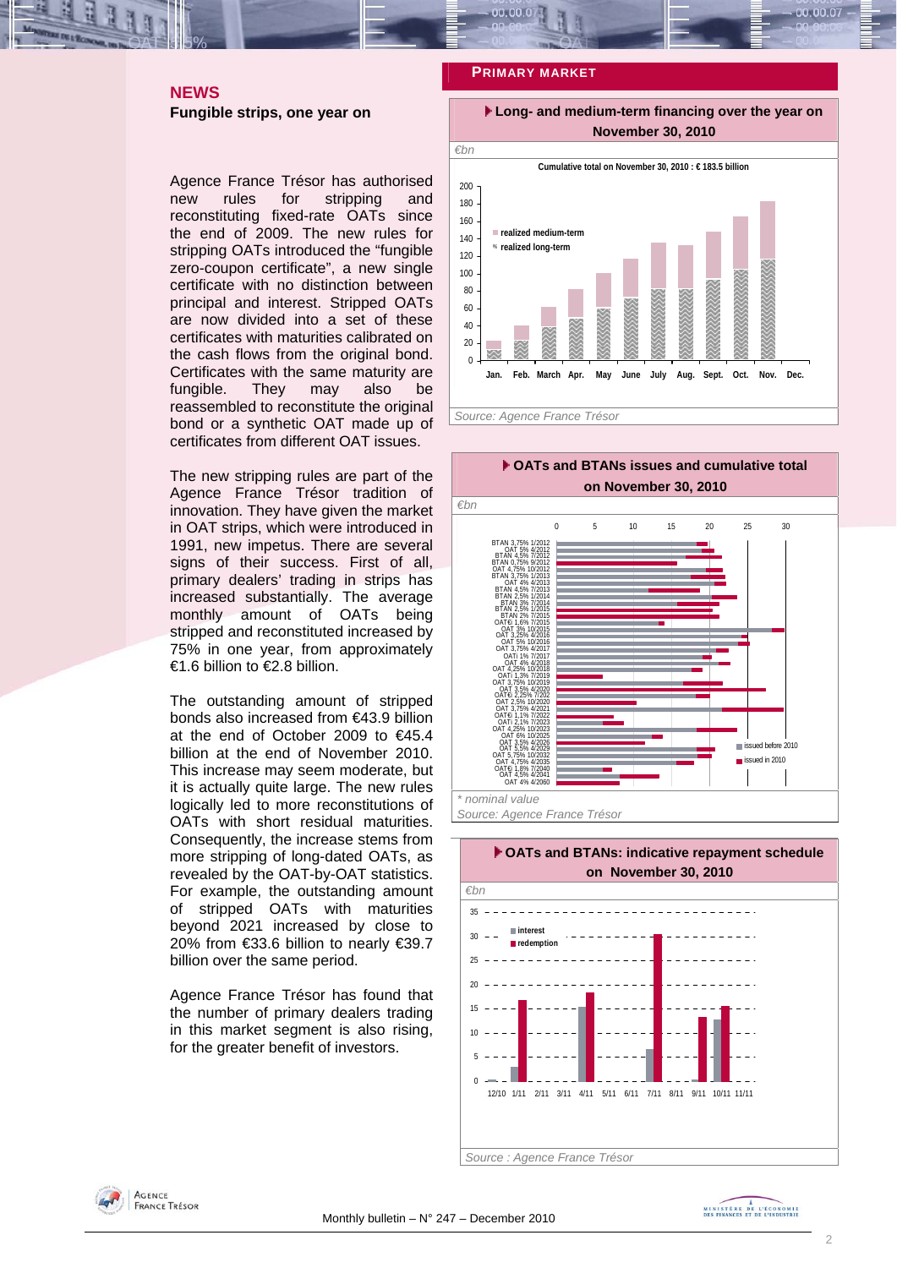## **NEWS Fungible strips, one year on**

Agence France Trésor has authorised new rules for stripping and reconstituting fixed-rate OATs since the end of 2009. The new rules for stripping OATs introduced the "fungible zero-coupon certificate", a new single certificate with no distinction between principal and interest. Stripped OATs are now divided into a set of these certificates with maturities calibrated on the cash flows from the original bond. Certificates with the same maturity are fungible. They may also be reassembled to reconstitute the original bond or a synthetic OAT made up of certificates from different OAT issues.

The new stripping rules are part of the Agence France Trésor tradition of innovation. They have given the market in OAT strips, which were introduced in 1991, new impetus. There are several signs of their success. First of all, primary dealers' trading in strips has increased substantially. The average monthly amount of OATs being stripped and reconstituted increased by 75% in one year, from approximately €1.6 billion to €2.8 billion.

The outstanding amount of stripped bonds also increased from €43.9 billion at the end of October 2009 to €45.4 billion at the end of November 2010. This increase may seem moderate, but it is actually quite large. The new rules logically led to more reconstitutions of OATs with short residual maturities. Consequently, the increase stems from more stripping of long-dated OATs, as revealed by the OAT-by-OAT statistics. For example, the outstanding amount of stripped OATs with maturities beyond 2021 increased by close to 20% from €33.6 billion to nearly €39.7 billion over the same period.

Agence France Trésor has found that the number of primary dealers trading in this market segment is also rising, for the greater benefit of investors.

#### **PRIMARY MARKET**











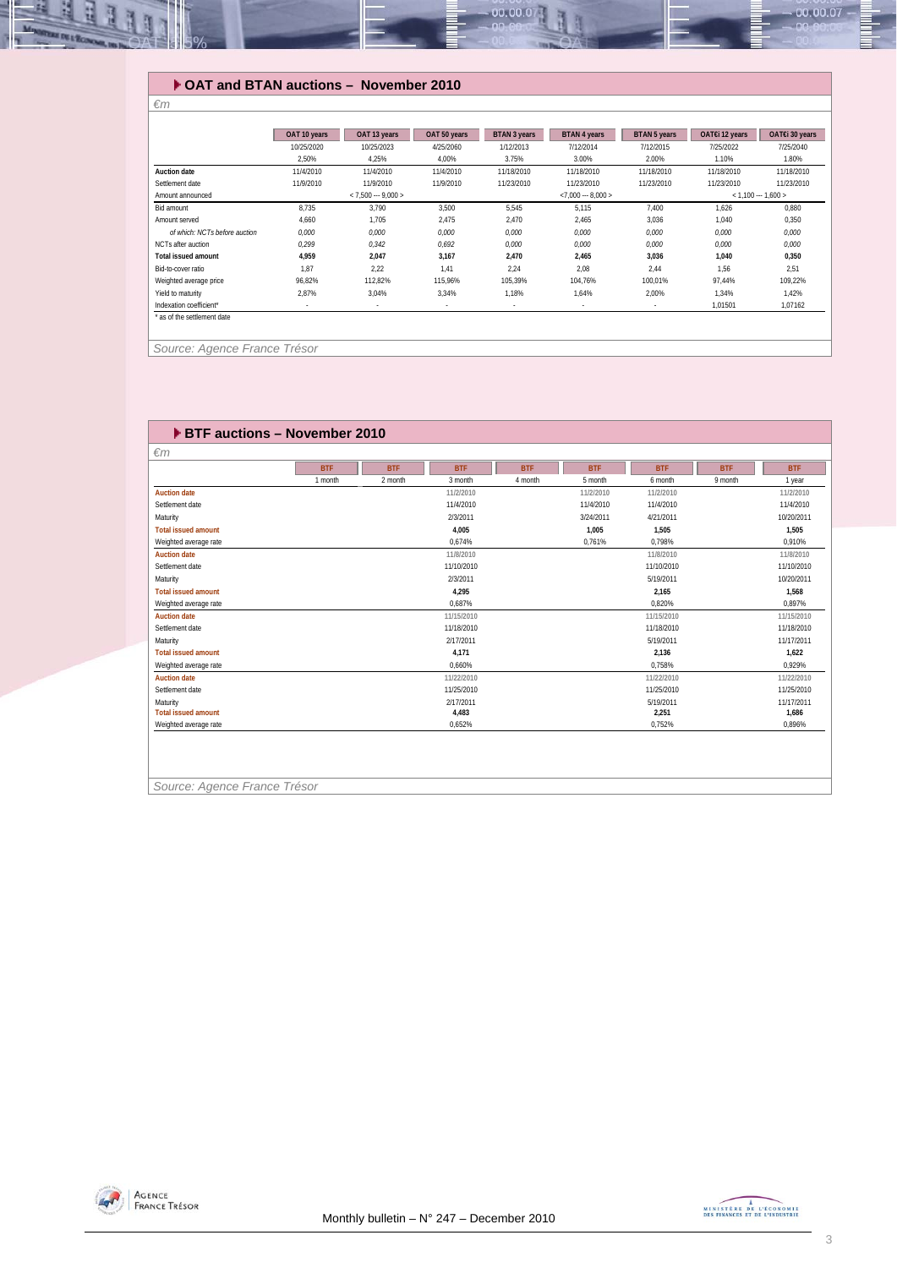

## **OAT and BTAN auctions – November 2010**

|                               | OAT 10 years | OAT 13 years        | OAT 50 years | <b>BTAN 3 years</b> | <b>BTAN 4 years</b> | <b>BTAN 5 years</b> | OAT€i 12 years | OAT€i 30 years      |
|-------------------------------|--------------|---------------------|--------------|---------------------|---------------------|---------------------|----------------|---------------------|
|                               | 10/25/2020   | 10/25/2023          | 4/25/2060    | 1/12/2013           | 7/12/2014           | 7/12/2015           | 7/25/2022      | 7/25/2040           |
|                               | 2,50%        | 4,25%               | 4,00%        | 3.75%               | 3.00%               | 2.00%               | 1.10%          | 1.80%               |
| <b>Auction date</b>           | 11/4/2010    | 11/4/2010           | 11/4/2010    | 11/18/2010          | 11/18/2010          | 11/18/2010          | 11/18/2010     | 11/18/2010          |
| Settlement date               | 11/9/2010    | 11/9/2010           | 11/9/2010    | 11/23/2010          | 11/23/2010          | 11/23/2010          | 11/23/2010     | 11/23/2010          |
| Amount announced              |              | $< 7,500 - 9,000 >$ |              |                     | $< 7,000 - 8,000 >$ |                     |                | $< 1,100 - 1,600 >$ |
| Bid amount                    | 8,735        | 3,790               | 3,500        | 5,545               | 5,115               | 7,400               | 1,626          | 0.880               |
| Amount served                 | 4,660        | 1.705               | 2,475        | 2,470               | 2,465               | 3,036               | 1,040          | 0,350               |
| of which: NCTs before auction | 0,000        | 0,000               | 0,000        | 0,000               | 0,000               | 0,000               | 0,000          | 0,000               |
| NCTs after auction            | 0,299        | 0,342               | 0,692        | 0,000               | 0,000               | 0,000               | 0,000          | 0,000               |
| <b>Total issued amount</b>    | 4,959        | 2,047               | 3,167        | 2,470               | 2,465               | 3,036               | 1,040          | 0,350               |
| Bid-to-cover ratio            | 1.87         | 2.22                | 1.41         | 2,24                | 2.08                | 2.44                | 1.56           | 2.51                |
| Weighted average price        | 96,82%       | 112,82%             | 115.96%      | 105,39%             | 104,76%             | 100,01%             | 97,44%         | 109,22%             |
| Yield to maturity             | 2,87%        | 3,04%               | 3,34%        | 1,18%               | 1,64%               | 2,00%               | 1,34%          | 1,42%               |
| Indexation coefficient*       | $\sim$       | $\sim$              | $\sim$       | $\sim$              | ×                   |                     | 1,01501        | 1,07162             |

*Source: Agence France Trésor* 

| $\epsilon$ m               |            |            |            |            |            |            |            |            |
|----------------------------|------------|------------|------------|------------|------------|------------|------------|------------|
|                            | <b>BTF</b> | <b>BTF</b> | <b>BTF</b> | <b>BTF</b> | <b>BTF</b> | <b>BTF</b> | <b>BTF</b> | <b>BTF</b> |
|                            | 1 month    | 2 month    | 3 month    | 4 month    | 5 month    | 6 month    | 9 month    | 1 year     |
| <b>Auction date</b>        |            |            | 11/2/2010  |            | 11/2/2010  | 11/2/2010  |            | 11/2/2010  |
| Settlement date            |            |            | 11/4/2010  |            | 11/4/2010  | 11/4/2010  |            | 11/4/2010  |
| Maturity                   |            |            | 2/3/2011   |            | 3/24/2011  | 4/21/2011  |            | 10/20/2011 |
| <b>Total issued amount</b> |            |            | 4.005      |            | 1,005      | 1,505      |            | 1,505      |
| Weighted average rate      |            |            | 0.674%     |            | 0,761%     | 0.798%     |            | 0,910%     |
| <b>Auction date</b>        |            |            | 11/8/2010  |            |            | 11/8/2010  |            | 11/8/2010  |
| Settlement date            |            |            | 11/10/2010 |            |            | 11/10/2010 |            | 11/10/2010 |
| Maturity                   |            |            | 2/3/2011   |            |            | 5/19/2011  |            | 10/20/2011 |
| <b>Total issued amount</b> |            |            | 4.295      |            |            | 2.165      |            | 1,568      |
| Weighted average rate      |            |            | 0,687%     |            |            | 0,820%     |            | 0,897%     |
| <b>Auction date</b>        |            |            | 11/15/2010 |            |            | 11/15/2010 |            | 11/15/2010 |
| Settlement date            |            |            | 11/18/2010 |            |            | 11/18/2010 |            | 11/18/2010 |
| Maturity                   |            |            | 2/17/2011  |            |            | 5/19/2011  |            | 11/17/2011 |
| <b>Total issued amount</b> |            |            | 4.171      |            |            | 2,136      |            | 1,622      |
| Weighted average rate      |            |            | 0.660%     |            |            | 0.758%     |            | 0.929%     |
| <b>Auction date</b>        |            |            | 11/22/2010 |            |            | 11/22/2010 |            | 11/22/2010 |
| Settlement date            |            |            | 11/25/2010 |            |            | 11/25/2010 |            | 11/25/2010 |
| Maturity                   |            |            | 2/17/2011  |            |            | 5/19/2011  |            | 11/17/2011 |
| <b>Total issued amount</b> |            |            | 4.483      |            |            | 2,251      |            | 1,686      |
| Weighted average rate      |            |            | 0,652%     |            |            | 0,752%     |            | 0,896%     |

*Source: Agence France Trésor* 



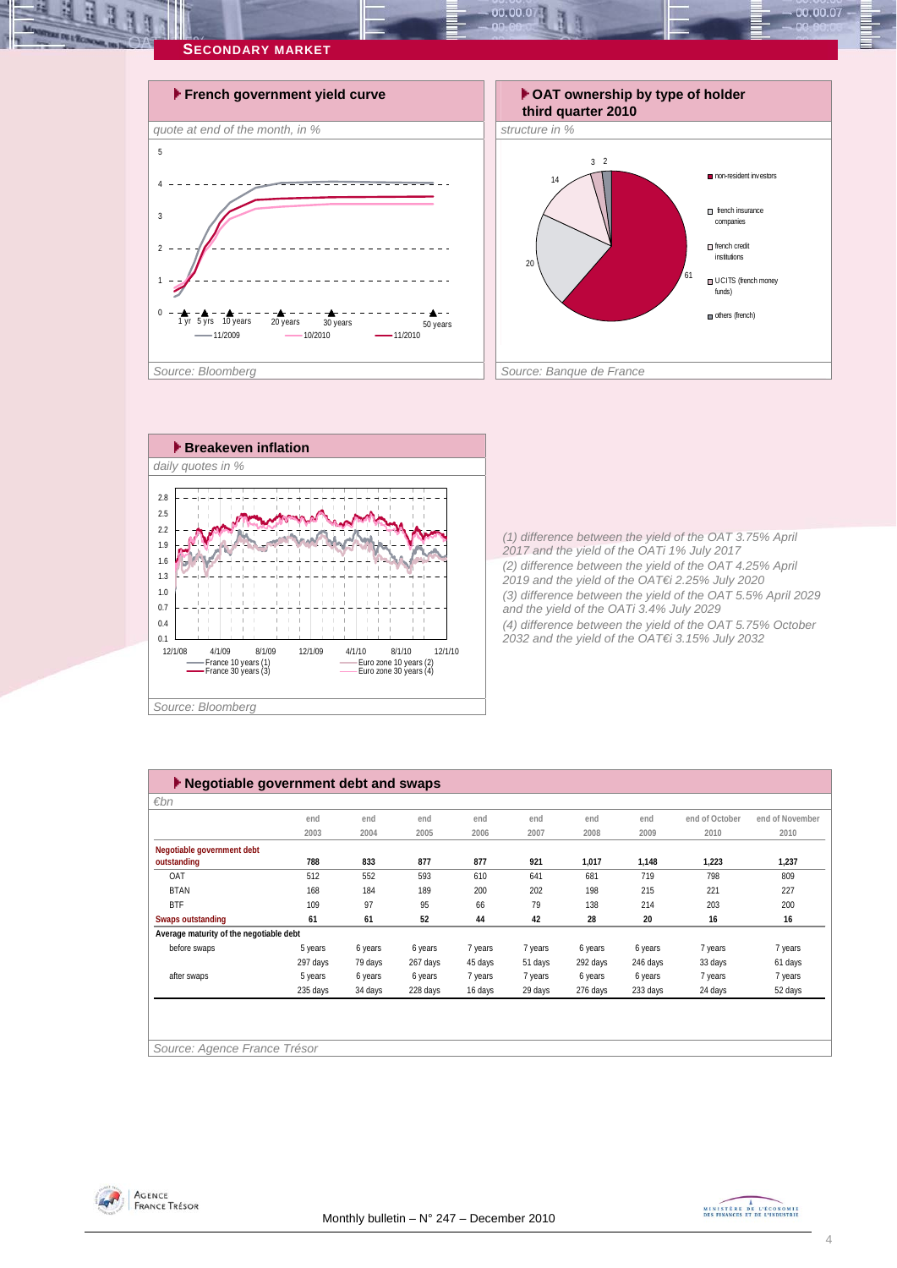

 $0.00, 00.0$ 



*(1) difference between the yield of the OAT 3.75% April 2017 and the yield of the OATi 1% July 2017 (2) difference between the yield of the OAT 4.25% April 2019 and the yield of the OAT€i 2.25% July 2020 (3) difference between the yield of the OAT 5.5% April 2029 and the yield of the OATi 3.4% July 2029 (4) difference between the yield of the OAT 5.75% October 2032 and the yield of the OAT€i 3.15% July 2032* 

| $\varepsilon$ bn                        |          |         |          |         |         |          |          |                |                 |
|-----------------------------------------|----------|---------|----------|---------|---------|----------|----------|----------------|-----------------|
|                                         | end      | end     | end      | end     | end     | end      | end      | end of October | end of November |
|                                         | 2003     | 2004    | 2005     | 2006    | 2007    | 2008     | 2009     | 2010           | 2010            |
| Negotiable government debt              |          |         |          |         |         |          |          |                |                 |
| outstanding                             | 788      | 833     | 877      | 877     | 921     | 1,017    | 1,148    | 1,223          | 1,237           |
| OAT                                     | 512      | 552     | 593      | 610     | 641     | 681      | 719      | 798            | 809             |
| <b>BTAN</b>                             | 168      | 184     | 189      | 200     | 202     | 198      | 215      | 221            | 227             |
| <b>BTF</b>                              | 109      | 97      | 95       | 66      | 79      | 138      | 214      | 203            | 200             |
| <b>Swaps outstanding</b>                | 61       | 61      | 52       | 44      | 42      | 28       | 20       | 16             | 16              |
| Average maturity of the negotiable debt |          |         |          |         |         |          |          |                |                 |
| before swaps                            | 5 years  | 6 years | 6 years  | 7 years | 7 years | 6 years  | 6 years  | 7 years        | 7 years         |
|                                         | 297 days | 79 days | 267 days | 45 days | 51 days | 292 days | 246 days | 33 days        | 61 days         |
| after swaps                             | 5 years  | 6 years | 6 years  | 7 years | 7 years | 6 years  | 6 years  | 7 years        | 7 years         |
|                                         | 235 days | 34 days | 228 days | 16 days | 29 days | 276 days | 233 days | 24 days        | 52 days         |





 $00.00.07$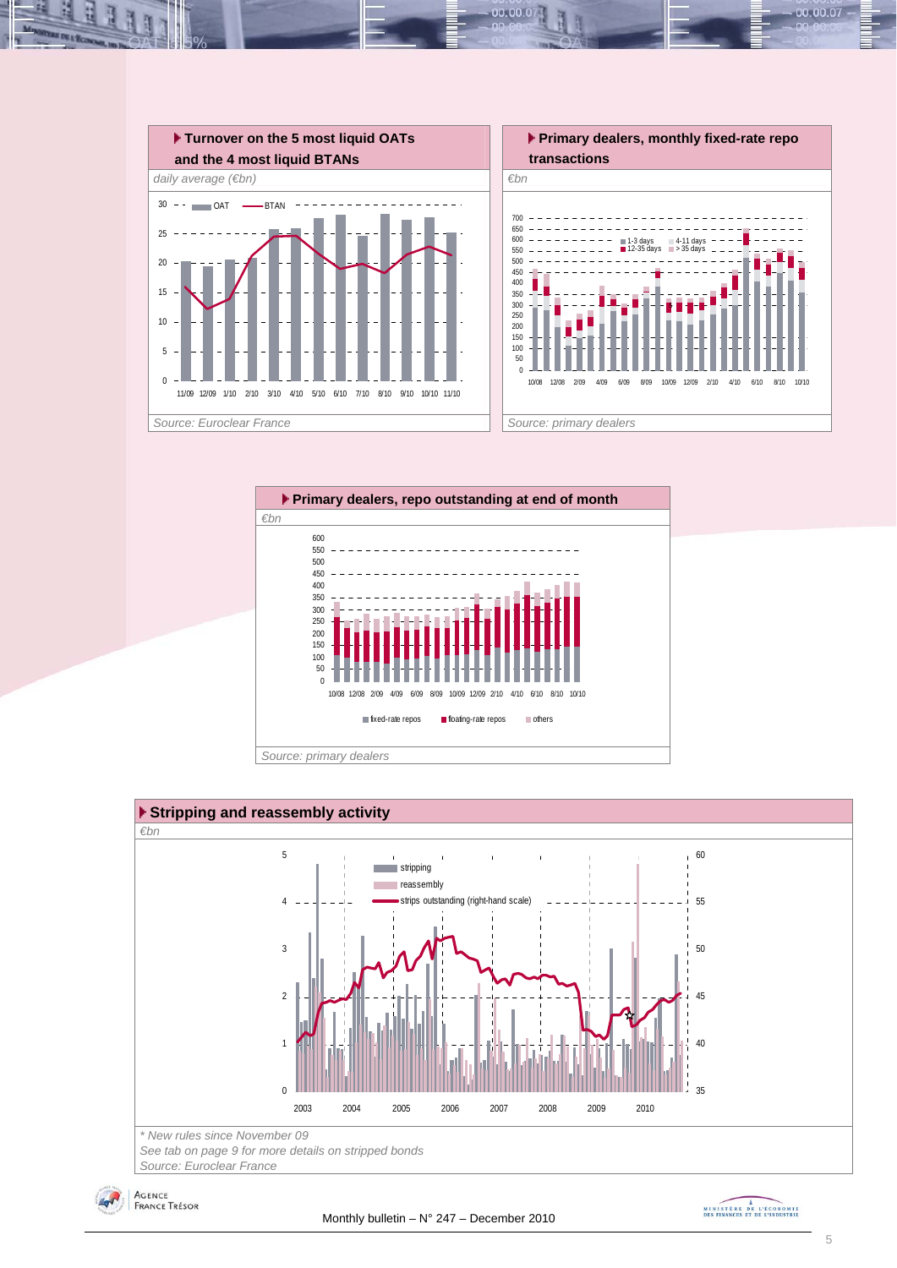

 $00.00.0$ 









00.00.07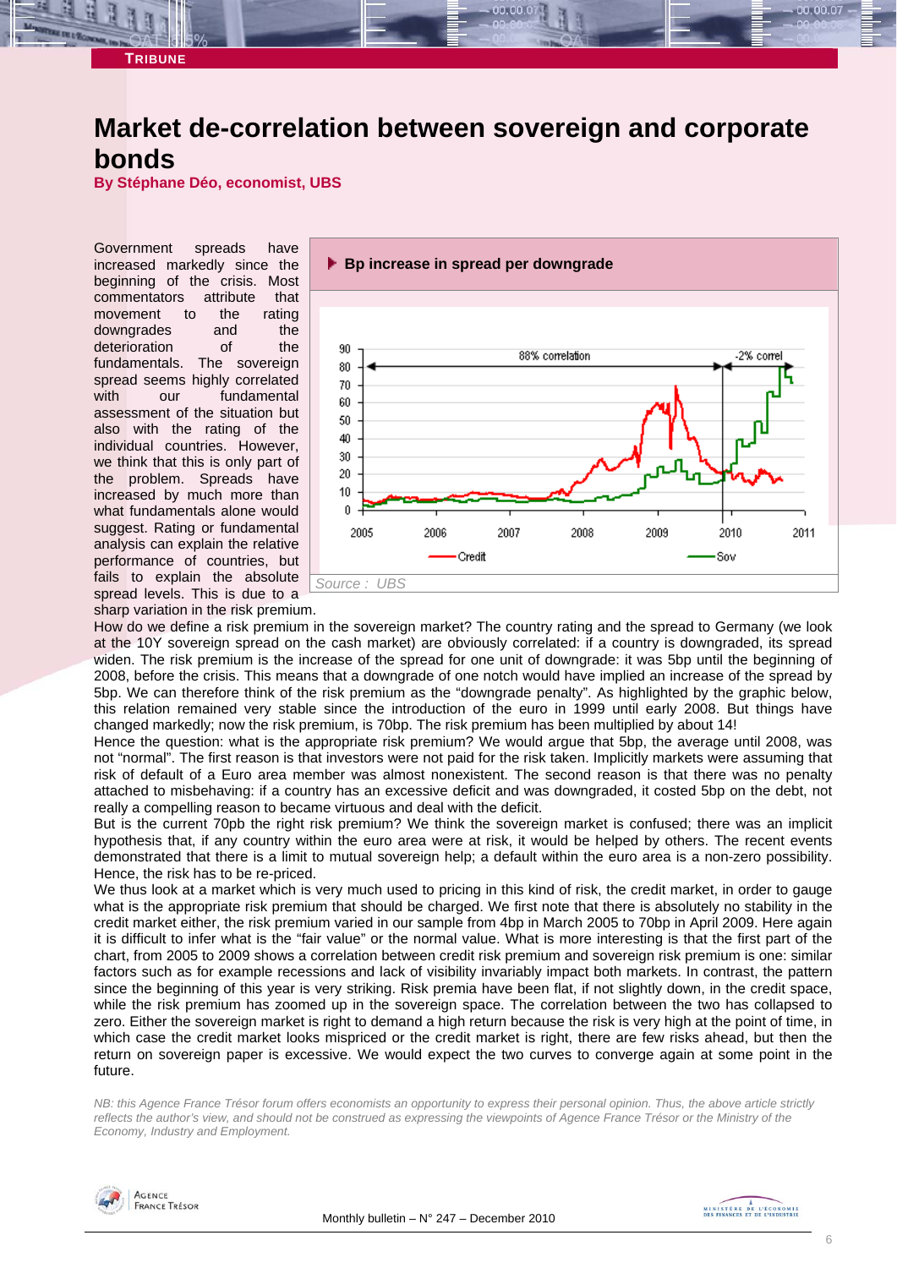**TRIBUNE** 

# **Market de-correlation between sovereign and corporate bonds**

**By Stéphane Déo, economist, UBS** 

Government spreads have increased markedly since the beginning of the crisis. Most commentators attribute that<br>movement to the rating movement to the downgrades and the deterioration of the fundamentals. The sovereign spread seems highly correlated with our fundamental assessment of the situation but also with the rating of the individual countries. However, we think that this is only part of the problem. Spreads have increased by much more than what fundamentals alone would suggest. Rating or fundamental analysis can explain the relative performance of countries, but fails to explain the absolute spread levels. This is due to a



sharp variation in the risk premium.

How do we define a risk premium in the sovereign market? The country rating and the spread to Germany (we look at the 10Y sovereign spread on the cash market) are obviously correlated: if a country is downgraded, its spread widen. The risk premium is the increase of the spread for one unit of downgrade: it was 5bp until the beginning of 2008, before the crisis. This means that a downgrade of one notch would have implied an increase of the spread by 5bp. We can therefore think of the risk premium as the "downgrade penalty". As highlighted by the graphic below, this relation remained very stable since the introduction of the euro in 1999 until early 2008. But things have changed markedly; now the risk premium, is 70bp. The risk premium has been multiplied by about 14!

Hence the question: what is the appropriate risk premium? We would argue that 5bp, the average until 2008, was not "normal". The first reason is that investors were not paid for the risk taken. Implicitly markets were assuming that risk of default of a Euro area member was almost nonexistent. The second reason is that there was no penalty attached to misbehaving: if a country has an excessive deficit and was downgraded, it costed 5bp on the debt, not really a compelling reason to became virtuous and deal with the deficit.

But is the current 70pb the right risk premium? We think the sovereign market is confused; there was an implicit hypothesis that, if any country within the euro area were at risk, it would be helped by others. The recent events demonstrated that there is a limit to mutual sovereign help; a default within the euro area is a non-zero possibility. Hence, the risk has to be re-priced.

We thus look at a market which is very much used to pricing in this kind of risk, the credit market, in order to gauge what is the appropriate risk premium that should be charged. We first note that there is absolutely no stability in the credit market either, the risk premium varied in our sample from 4bp in March 2005 to 70bp in April 2009. Here again it is difficult to infer what is the "fair value" or the normal value. What is more interesting is that the first part of the chart, from 2005 to 2009 shows a correlation between credit risk premium and sovereign risk premium is one: similar factors such as for example recessions and lack of visibility invariably impact both markets. In contrast, the pattern since the beginning of this year is very striking. Risk premia have been flat, if not slightly down, in the credit space, while the risk premium has zoomed up in the sovereign space. The correlation between the two has collapsed to zero. Either the sovereign market is right to demand a high return because the risk is very high at the point of time, in which case the credit market looks mispriced or the credit market is right, there are few risks ahead, but then the return on sovereign paper is excessive. We would expect the two curves to converge again at some point in the future.

*NB: this Agence France Trésor forum offers economists an opportunity to express their personal opinion. Thus, the above article strictly reflects the author's view, and should not be construed as expressing the viewpoints of Agence France Trésor or the Ministry of the Economy, Industry and Employment.* 



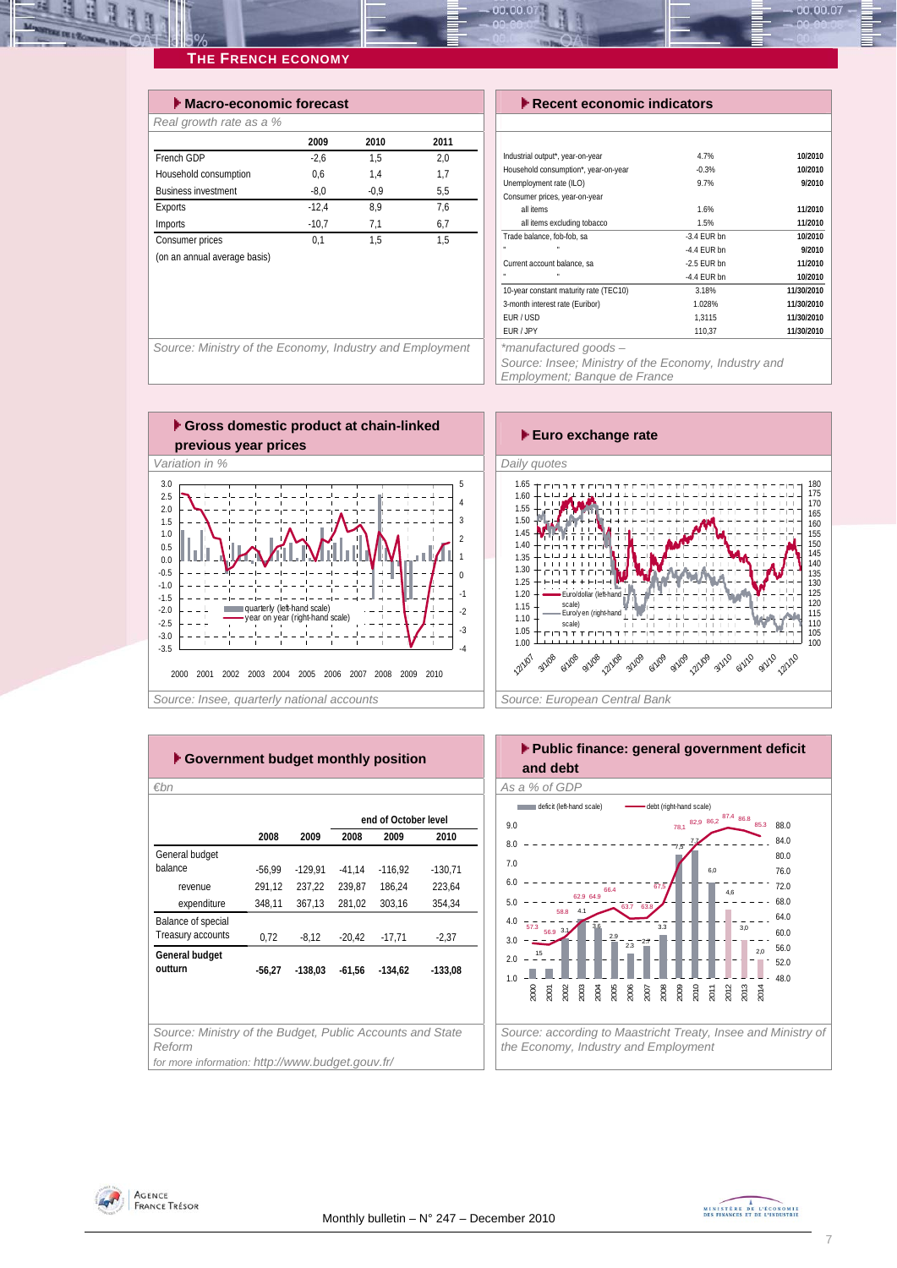#### **THE FRENCH ECONOMY**

| $\blacktriangleright$ Macro-economic forecast |         |        |      |
|-----------------------------------------------|---------|--------|------|
| Real growth rate as a %                       |         |        |      |
|                                               | 2009    | 2010   | 2011 |
| French GDP                                    | $-2.6$  | 1.5    | 2.0  |
| Household consumption                         | 0.6     | 1.4    | 1,7  |
| <b>Business investment</b>                    | $-8.0$  | $-0.9$ | 5,5  |
| Exports                                       | $-12.4$ | 8.9    | 7.6  |
| Imports                                       | $-10,7$ | 7,1    | 6,7  |
| Consumer prices                               | 0,1     | 1.5    | 1.5  |
| (on an annual average basis)                  |         |        |      |
|                                               |         |        |      |

#### *Execent economic indicators*

10,00.0

| Industrial output*, year-on-year       | 4.7%          | 10/2010    |
|----------------------------------------|---------------|------------|
| Household consumption*, year-on-year   | $-0.3%$       | 10/2010    |
| Unemployment rate (ILO)                | 9.7%          | 9/2010     |
| Consumer prices, year-on-year          |               |            |
| all items                              | 1.6%          | 11/2010    |
| all items excluding tobacco            | 1.5%          | 11/2010    |
| Trade balance, fob-fob, sa             | $-3.4$ FUR bn | 10/2010    |
| m.                                     | $-4.4$ FUR bn | 9/2010     |
| Current account balance, sa            | -2.5 FUR bn   | 11/2010    |
| ٠                                      | $-4.4$ FUR bn | 10/2010    |
| 10-year constant maturity rate (TEC10) | 3.18%         | 11/30/2010 |
| 3-month interest rate (Euribor)        | 1.028%        | 11/30/2010 |
| FUR/USD                                | 1.3115        | 11/30/2010 |
| EUR / JPY                              | 110.37        | 11/30/2010 |
| $*$ manufaatumad aaada                 |               |            |

00.00.07

Source: Ministry of the Economy, Industry and Employment | | \*manufactured goods –

*Source: Insee; Ministry of the Economy, Industry and* 

*Employment; Banque de France* 



| Euro exchange rate                                                                                                                                                                                                                                                                                                                                                                           |
|----------------------------------------------------------------------------------------------------------------------------------------------------------------------------------------------------------------------------------------------------------------------------------------------------------------------------------------------------------------------------------------------|
| Daily quotes                                                                                                                                                                                                                                                                                                                                                                                 |
| 180<br>1.65<br>175<br>1.60<br>170<br>1.55<br>165<br>1.50<br>160<br>1.45<br>155<br>150<br>1.40<br>145<br>1.35<br>140<br>1.30<br>135<br>1.25<br>130<br>125<br>1.20<br>- Euro/dollar (left-hand -<br>120<br>scale)<br>1.15<br>115<br>- Euro/y en (right-hand<br>1.10<br>110<br>scale)<br>1.05<br>105<br>1.00<br>100<br>, 31/2 91/2 91/2 91/2 31/2 91/2 91/2 91/2 91/1 91/2 91/2 91/2<br>12/1/07 |
| Courant European Control Dople                                                                                                                                                                                                                                                                                                                                                               |

| $\blacktriangleright$ Government budget monthly position            |          |           |          |                      |           |  |  |  |  |  |
|---------------------------------------------------------------------|----------|-----------|----------|----------------------|-----------|--|--|--|--|--|
| €bn                                                                 |          |           |          |                      |           |  |  |  |  |  |
|                                                                     |          |           |          | end of October level |           |  |  |  |  |  |
|                                                                     | 2008     | 2009      | 2008     | 2009                 | 2010      |  |  |  |  |  |
| General budget                                                      |          |           |          |                      |           |  |  |  |  |  |
| balance                                                             | $-56.99$ | $-129.91$ | $-41,14$ | $-116,92$            | $-130,71$ |  |  |  |  |  |
| revenue                                                             | 291,12   | 237.22    | 239,87   | 186.24               | 223,64    |  |  |  |  |  |
| expenditure                                                         | 348,11   | 367,13    | 281,02   | 303,16               | 354,34    |  |  |  |  |  |
| Balance of special                                                  |          |           |          |                      |           |  |  |  |  |  |
| Treasury accounts                                                   | 0,72     | $-8,12$   | $-20,42$ | $-17,71$             | $-2,37$   |  |  |  |  |  |
| General budget                                                      |          |           |          |                      |           |  |  |  |  |  |
| outturn                                                             | $-56,27$ | $-138,03$ | $-61,56$ | $-134,62$            | $-133,08$ |  |  |  |  |  |
|                                                                     |          |           |          |                      |           |  |  |  |  |  |
|                                                                     |          |           |          |                      |           |  |  |  |  |  |
|                                                                     |          |           |          |                      |           |  |  |  |  |  |
| Source: Ministry of the Budget, Public Accounts and State<br>Reform |          |           |          |                      |           |  |  |  |  |  |
| for more information: http://www.budget.gouv.fr/                    |          |           |          |                      |           |  |  |  |  |  |





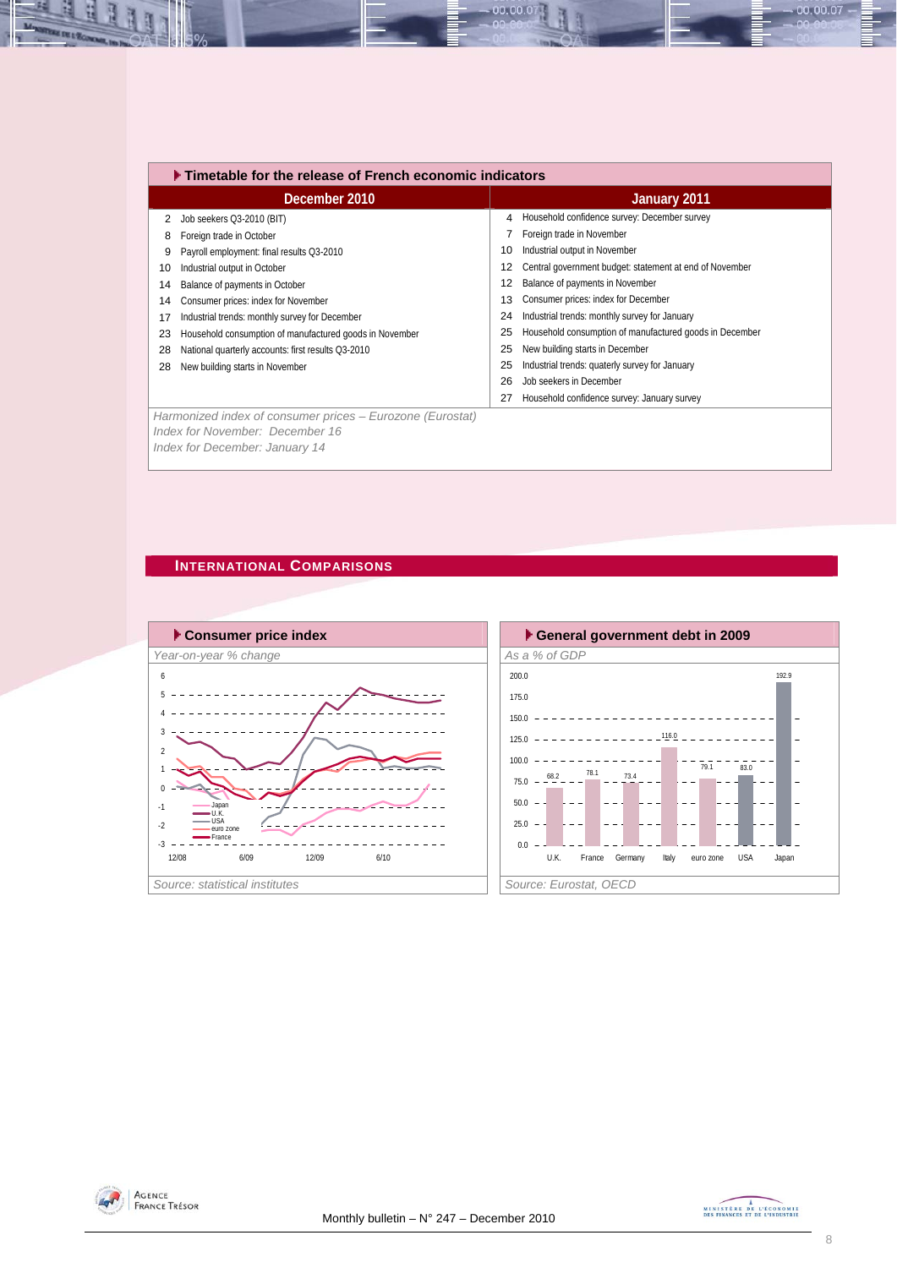|    | ▶ Timetable for the release of French economic indicators |    |                                                         |
|----|-----------------------------------------------------------|----|---------------------------------------------------------|
|    | December 2010                                             |    | January 2011                                            |
| 2  | Job seekers Q3-2010 (BIT)                                 | 4  | Household confidence survey: December survey            |
| 8  | Foreign trade in October                                  |    | Foreign trade in November                               |
| 9  | Payroll employment: final results Q3-2010                 | 10 | Industrial output in November                           |
| 10 | Industrial output in October                              | 12 | Central government budget: statement at end of November |
| 14 | Balance of payments in October                            | 12 | Balance of payments in November                         |
| 14 | Consumer prices: index for November                       | 13 | Consumer prices: index for December                     |
| 17 | Industrial trends: monthly survey for December            | 24 | Industrial trends: monthly survey for January           |
| 23 | Household consumption of manufactured goods in November   | 25 | Household consumption of manufactured goods in December |
| 28 | National quarterly accounts: first results Q3-2010        | 25 | New building starts in December                         |
| 28 | New building starts in November                           | 25 | Industrial trends: quaterly survey for January          |
|    |                                                           | 26 | Job seekers in December                                 |
|    |                                                           | 27 | Household confidence survey: January survey             |
|    | Harmonized index of consumer prices - Eurozone (Eurostat) |    |                                                         |
|    | Index for November: December 16                           |    |                                                         |
|    | Index for December: January 14                            |    |                                                         |

00.00.0

#### **INTERNATIONAL COMPARISONS**







00.00.07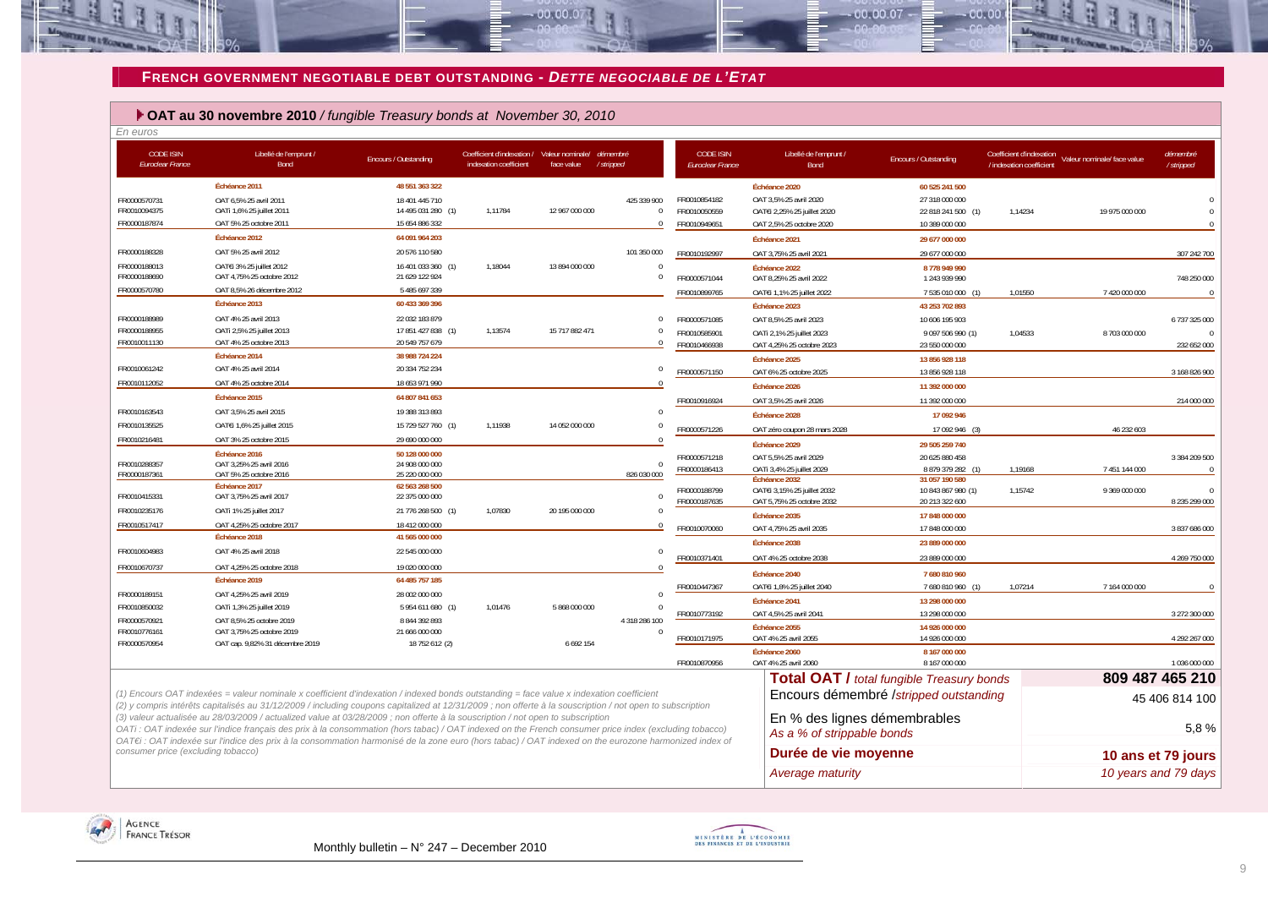

 $00.00.07$ 

#### **OAT au 30 novembre 2010** */ fungible Treasury bonds at November 30, 2010*

| En euros                                    |                                                                                                                                                                                                                                                                                                                                                                                                                                                  |                                      |                                                                                |                |                      |                                      |                                                            |                                                  |                                                      |                             |                        |
|---------------------------------------------|--------------------------------------------------------------------------------------------------------------------------------------------------------------------------------------------------------------------------------------------------------------------------------------------------------------------------------------------------------------------------------------------------------------------------------------------------|--------------------------------------|--------------------------------------------------------------------------------|----------------|----------------------|--------------------------------------|------------------------------------------------------------|--------------------------------------------------|------------------------------------------------------|-----------------------------|------------------------|
| <b>CODE ISIN</b><br><b>Euroclear France</b> | Libellé de l'emprunt /<br><b>Bond</b>                                                                                                                                                                                                                                                                                                                                                                                                            | <b>Encours / Outstanding</b>         | Coefficient d'indexation / Valeur nominale/ démembré<br>indexation coefficient | face value     | /stripped            | <b>CODE ISIN</b><br>Euroclear France | Libellé de l'emprunt /<br>Bond                             | <b>Encours / Outstanding</b>                     | Coefficient d'indexation<br>/ indexation coefficient | Valeur nominale/ face value | démembré<br>/ stripped |
|                                             | Échéance 2011                                                                                                                                                                                                                                                                                                                                                                                                                                    | 48 551 363 322                       |                                                                                |                |                      |                                      | Échéance 2020                                              | 60 525 241 500                                   |                                                      |                             |                        |
| FR0000570731                                | OAT 6.5% 25 avril 2011                                                                                                                                                                                                                                                                                                                                                                                                                           | 18 401 445 710                       |                                                                                |                | 425 339 900          | FR0010854182                         | OAT 3.5% 25 avril 2020                                     | 27 318 000 000                                   |                                                      |                             |                        |
| FR0010094375                                | OATi 1,6% 25 juillet 2011                                                                                                                                                                                                                                                                                                                                                                                                                        | 14 495 031 280 (1)                   | 1,11784                                                                        | 12 967 000 000 | $\Omega$             | FR0010050559                         | OATEi 2,25% 25 juillet 2020                                | 22 818 241 500 (1)                               | 1.14234                                              | 19 975 000 000              | $\mathbf{C}$           |
| FR0000187874                                | OAT 5% 25 octobre 2011                                                                                                                                                                                                                                                                                                                                                                                                                           | 15 654 886 332                       |                                                                                |                | $\Omega$             | FR0010949651                         | OAT 2,5% 25 octobre 2020                                   | 10 389 000 000                                   |                                                      |                             |                        |
|                                             | Échéance 2012                                                                                                                                                                                                                                                                                                                                                                                                                                    | 64 091 964 203                       |                                                                                |                |                      |                                      | Échéance 2021                                              | 29 677 000 000                                   |                                                      |                             |                        |
| FR0000188328                                | OAT 5% 25 avril 2012                                                                                                                                                                                                                                                                                                                                                                                                                             | 20 576 110 580                       |                                                                                |                | 101 350 000          | FR0010192997                         | OAT 3,75% 25 avril 2021                                    | 29 677 000 000                                   |                                                      |                             | 307 242 700            |
| FR0000188013<br>FR0000188690                | OAT€i 3% 25 juillet 2012<br>OAT 4,75% 25 octobre 2012                                                                                                                                                                                                                                                                                                                                                                                            | 16 401 033 360 (1)<br>21 629 122 924 | 1,18044                                                                        | 13 894 000 000 | $\Omega$<br>$\Omega$ | FR0000571044                         | Échéance 2022<br>OAT 8,25% 25 avril 2022                   | 8778949990<br>1 243 939 990                      |                                                      |                             | 748 250 000            |
| FR0000570780                                | OAT 8.5% 26 décembre 2012                                                                                                                                                                                                                                                                                                                                                                                                                        | 5 485 697 339                        |                                                                                |                |                      | FR0010899765                         | OATEi 1,1% 25 juillet 2022                                 | 7 535 010 000                                    | 1,01550                                              | 7 420 000 000               |                        |
|                                             | Échéance 2013                                                                                                                                                                                                                                                                                                                                                                                                                                    | 60 433 369 396                       |                                                                                |                |                      |                                      | Échéance 2023                                              | 43 253 702 893                                   |                                                      |                             |                        |
| FR0000188989                                | OAT 4% 25 avril 2013                                                                                                                                                                                                                                                                                                                                                                                                                             | 22 032 183 879                       |                                                                                |                | $\Omega$             | FR0000571085                         | OAT 8,5% 25 avril 2023                                     | 10 606 195 903                                   |                                                      |                             | 6 737 325 000          |
| FR0000188955                                | OATi 2,5% 25 juillet 2013                                                                                                                                                                                                                                                                                                                                                                                                                        | 17851427838 (1)                      | 1,13574                                                                        | 15 717 882 471 | $\Omega$             | FR0010585901                         | OATi 2,1% 25 juillet 2023                                  | 9 097 506 990 (1)                                | 1,04533                                              | 8 703 000 000               | $\sqrt{ }$             |
| FR0010011130                                | OAT 4% 25 octobre 2013                                                                                                                                                                                                                                                                                                                                                                                                                           | 20 549 757 679                       |                                                                                |                | $\Omega$             | FR0010466938                         | OAT 4,25% 25 octobre 2023                                  | 23 550 000 000                                   |                                                      |                             | 232 652 000            |
| FR0010061242                                | Échéance 2014<br>OAT 4% 25 avril 2014                                                                                                                                                                                                                                                                                                                                                                                                            | 38 988 724 224<br>20 334 752 234     |                                                                                |                | $\Omega$             |                                      | Échéance 2025                                              | 13 856 928 118                                   |                                                      |                             |                        |
| FR0010112052                                | OAT 4% 25 octobre 2014                                                                                                                                                                                                                                                                                                                                                                                                                           | 18 653 971 990                       |                                                                                |                | $\Omega$             | FR0000571150                         | OAT 6% 25 octobre 2025                                     | 13 856 928 118                                   |                                                      |                             | 3 168 826 900          |
|                                             | Échéance 2015                                                                                                                                                                                                                                                                                                                                                                                                                                    |                                      |                                                                                |                |                      |                                      | Échéance 2026                                              | 11 392 000 000                                   |                                                      |                             |                        |
|                                             |                                                                                                                                                                                                                                                                                                                                                                                                                                                  | 64 807 841 653                       |                                                                                |                | $\Omega$             | FR0010916924                         | OAT 3,5% 25 avril 2026                                     | 11 392 000 000                                   |                                                      |                             | 214 000 000            |
| FR0010163543                                | OAT 3,5% 25 avril 2015                                                                                                                                                                                                                                                                                                                                                                                                                           | 19 388 313 893                       |                                                                                |                |                      |                                      | Échéance 2028                                              | 17 092 946                                       |                                                      |                             |                        |
| FR0010135525                                | OATEI 1,6% 25 juillet 2015                                                                                                                                                                                                                                                                                                                                                                                                                       | 15 729 527 760 (1)                   | 1,11938                                                                        | 14 052 000 000 |                      | FR0000571226                         | OAT zéro coupon 28 mars 2028                               | 17 092 946 (3)                                   |                                                      | 46 232 603                  |                        |
| FR0010216481                                | OAT 3% 25 octobre 2015                                                                                                                                                                                                                                                                                                                                                                                                                           | 29 690 000 000                       |                                                                                |                | $\Omega$             |                                      | Échéance 2029                                              | 29 505 259 740                                   |                                                      |                             |                        |
| FR0010288357                                | Échéance 2016<br>OAT 3,25% 25 avril 2016                                                                                                                                                                                                                                                                                                                                                                                                         | 50 128 000 000<br>24 908 000 000     |                                                                                |                | $\Omega$             | FR0000571218                         | OAT 5.5% 25 avril 2029                                     | 20 625 880 458                                   |                                                      |                             | 3 384 209 500          |
| FR0000187361                                | OAT 5% 25 octobre 2016                                                                                                                                                                                                                                                                                                                                                                                                                           | 25 220 000 000                       |                                                                                |                | 826 030 000          | FR0000186413                         | OATi 3,4% 25 juillet 2029<br>Échéance 2032                 | 8 879 379 282 (1)<br>31 057 190 580              | 1,19168                                              | 7 451 144 000               | $\sqrt{ }$             |
|                                             | Échéance 2017                                                                                                                                                                                                                                                                                                                                                                                                                                    | 62 563 268 500                       |                                                                                |                |                      | FR0000188799                         | OATEi 3,15% 25 juillet 2032                                | 10 843 867 980 (1)                               | 1,15742                                              | 9 369 000 000               | $\sqrt{ }$             |
| FR0010415331                                | OAT 3,75% 25 avril 2017                                                                                                                                                                                                                                                                                                                                                                                                                          | 22 375 000 000                       |                                                                                |                |                      | FR0000187635                         | OAT 5,75% 25 octobre 2032                                  | 20 213 322 600                                   |                                                      |                             | 8 235 299 000          |
| FR0010235176                                | OATi 1% 25 juillet 2017                                                                                                                                                                                                                                                                                                                                                                                                                          | 21 776 268 500 (1)                   | 1,07830                                                                        | 20 195 000 000 | $\Omega$             |                                      | Échéance 2035                                              | 17 848 000 000                                   |                                                      |                             |                        |
| FR0010517417                                | OAT 4,25% 25 octobre 2017                                                                                                                                                                                                                                                                                                                                                                                                                        | 18 412 000 000                       |                                                                                |                | $\mathbf{0}$         | FR0010070060                         | OAT 4,75% 25 avril 2035                                    | 17 848 000 000                                   |                                                      |                             | 3 837 686 000          |
|                                             | Échéance 2018                                                                                                                                                                                                                                                                                                                                                                                                                                    | 41 565 000 000                       |                                                                                |                | $\Omega$             |                                      | Échéance 2038                                              | 23 889 000 000                                   |                                                      |                             |                        |
| FR0010604983                                | OAT 4% 25 avril 2018                                                                                                                                                                                                                                                                                                                                                                                                                             | 22 545 000 000                       |                                                                                |                |                      | FR0010371401                         | OAT 4% 25 octobre 2038                                     | 23 889 000 000                                   |                                                      |                             | 4 269 750 000          |
| FR0010670737                                | OAT 4,25% 25 octobre 2018                                                                                                                                                                                                                                                                                                                                                                                                                        | 19 020 000 000                       |                                                                                |                | $\Omega$             |                                      | Échéance 2040                                              | 7680810960                                       |                                                      |                             |                        |
|                                             | Échéance 2019                                                                                                                                                                                                                                                                                                                                                                                                                                    | 64 485 757 185                       |                                                                                |                |                      | FR0010447367                         | OATEi 1,8% 25 juillet 2040                                 | 7680810960                                       | 1,07214                                              | 7 164 000 000               | $\sqrt{ }$             |
| FR0000189151                                | OAT 4.25% 25 avril 2019                                                                                                                                                                                                                                                                                                                                                                                                                          | 28 002 000 000                       | 1.01476                                                                        |                |                      |                                      | Échéance 2041                                              | 13 298 000 000                                   |                                                      |                             |                        |
| FR0010850032<br>FR0000570921                | OATi 1,3% 25 juillet 2019<br>OAT 8.5% 25 octobre 2019                                                                                                                                                                                                                                                                                                                                                                                            | 5 954 611 680 (1)<br>8844392893      |                                                                                | 5 868 000 000  | 4 318 286 100        | FR0010773192                         | OAT 4,5% 25 avril 2041                                     | 13 298 000 000                                   |                                                      |                             | 3 272 300 000          |
| FR0010776161                                | OAT 3.75% 25 octobre 2019                                                                                                                                                                                                                                                                                                                                                                                                                        | 21 666 000 000                       |                                                                                |                | $\Omega$             |                                      | Échéance 2055                                              | 14 926 000 000                                   |                                                      |                             |                        |
| FR0000570954                                | OAT cap. 9,82% 31 décembre 2019                                                                                                                                                                                                                                                                                                                                                                                                                  | 18 752 612 (2)                       |                                                                                | 6 692 154      |                      | FR0010171975                         | OAT 4% 25 avril 2055                                       | 14 926 000 000                                   |                                                      |                             | 4 292 267 000          |
|                                             |                                                                                                                                                                                                                                                                                                                                                                                                                                                  |                                      |                                                                                |                |                      | FR0010870956                         | Échéance 2060<br>OAT 4% 25 avril 2060                      | 8 167 000 000<br>8 167 000 000                   |                                                      |                             | 1 036 000 000          |
|                                             |                                                                                                                                                                                                                                                                                                                                                                                                                                                  |                                      |                                                                                |                |                      |                                      |                                                            | <b>Total OAT / total fungible Treasury bonds</b> |                                                      |                             | 809 487 465 210        |
|                                             | (1) Encours OAT indexées = valeur nominale x coefficient d'indexation / indexed bonds outstanding = face value x indexation coefficient                                                                                                                                                                                                                                                                                                          |                                      |                                                                                |                |                      |                                      |                                                            | Encours démembré /stripped outstanding           |                                                      |                             |                        |
|                                             | (2) y compris intérêts capitalisés au 31/12/2009 / including coupons capitalized at 12/31/2009 ; non offerte à la souscription / not open to subscription                                                                                                                                                                                                                                                                                        |                                      |                                                                                |                |                      |                                      |                                                            |                                                  |                                                      |                             | 45 406 814 100         |
|                                             | (3) valeur actualisée au 28/03/2009 / actualized value at 03/28/2009 ; non offerte à la souscription / not open to subscription<br>OATi : OAT indexée sur l'indice français des prix à la consommation (hors tabac) / OAT indexed on the French consumer price index (excluding tobacco)<br>OAT€i : OAT indexée sur l'indice des prix à la consommation harmonisé de la zone euro (hors tabac) / OAT indexed on the eurozone harmonized index of |                                      |                                                                                |                |                      |                                      | En % des lignes démembrables<br>As a % of strippable bonds |                                                  |                                                      |                             | 5,8%                   |
| consumer price (excluding tobacco)          |                                                                                                                                                                                                                                                                                                                                                                                                                                                  |                                      |                                                                                |                |                      |                                      | Durée de vie moyenne                                       |                                                  |                                                      |                             | 10 ans et 79 jours     |
|                                             |                                                                                                                                                                                                                                                                                                                                                                                                                                                  |                                      |                                                                                |                |                      |                                      | Average maturity                                           |                                                  |                                                      |                             | 10 years and 79 days   |





 $00007$